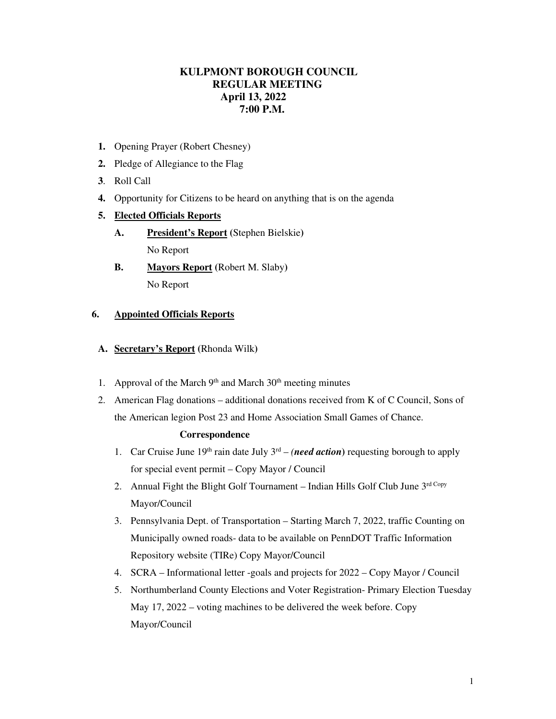# **KULPMONT BOROUGH COUNCIL REGULAR MEETING April 13, 2022 7:00 P.M.**

- **1.** Opening Prayer (Robert Chesney)
- **2.** Pledge of Allegiance to the Flag
- **3**. Roll Call
- **4.** Opportunity for Citizens to be heard on anything that is on the agenda

# **5. Elected Officials Reports**

- **A. President's Report (**Stephen Bielskie**)**  No Report
- **B. Mayors Report (**Robert M. Slaby**)**  No Report

# **6. Appointed Officials Reports**

- **A. Secretary's Report (**Rhonda Wilk**)**
- 1. Approval of the March  $9<sup>th</sup>$  and March  $30<sup>th</sup>$  meeting minutes
- 2. American Flag donations additional donations received from K of C Council, Sons of the American legion Post 23 and Home Association Small Games of Chance.

## **Correspondence**

- 1. Car Cruise June  $19<sup>th</sup>$  rain date July  $3<sup>rd</sup> (need action)$  requesting borough to apply for special event permit – Copy Mayor / Council
- 2. Annual Fight the Blight Golf Tournament Indian Hills Golf Club June 3rd Copy Mayor/Council
- 3. Pennsylvania Dept. of Transportation Starting March 7, 2022, traffic Counting on Municipally owned roads- data to be available on PennDOT Traffic Information Repository website (TIRe) Copy Mayor/Council
- 4. SCRA Informational letter -goals and projects for 2022 Copy Mayor / Council
- 5. Northumberland County Elections and Voter Registration- Primary Election Tuesday May 17, 2022 – voting machines to be delivered the week before. Copy Mayor/Council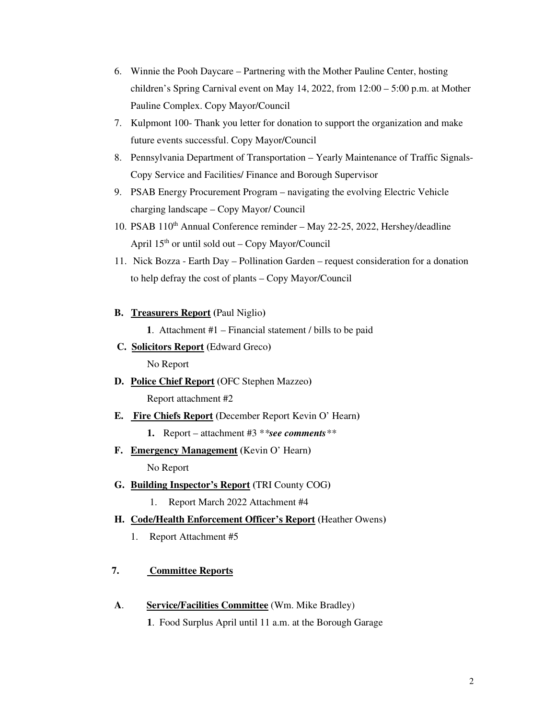- 6. Winnie the Pooh Daycare Partnering with the Mother Pauline Center, hosting children's Spring Carnival event on May 14, 2022, from 12:00 – 5:00 p.m. at Mother Pauline Complex. Copy Mayor/Council
- 7. Kulpmont 100- Thank you letter for donation to support the organization and make future events successful. Copy Mayor/Council
- 8. Pennsylvania Department of Transportation Yearly Maintenance of Traffic Signals-Copy Service and Facilities/ Finance and Borough Supervisor
- 9. PSAB Energy Procurement Program navigating the evolving Electric Vehicle charging landscape – Copy Mayor/ Council
- 10. PSAB 110<sup>th</sup> Annual Conference reminder May 22-25, 2022, Hershey/deadline April 15th or until sold out – Copy Mayor/Council
- 11. Nick Bozza Earth Day Pollination Garden request consideration for a donation to help defray the cost of plants – Copy Mayor/Council
- **B. Treasurers Report (**Paul Niglio**)**

**1**. Attachment #1 – Financial statement / bills to be paid

- **C. Solicitors Report (**Edward Greco**)**  No Report
- **D. Police Chief Report (**OFC Stephen Mazzeo**)**  Report attachment #2
- **E. Fire Chiefs Report (**December Report Kevin O' Hearn**)** 
	- **1.** Report attachment #3 \**\*see comments\*\**
- **F. Emergency Management (**Kevin O' Hearn**)**  No Report
- **G. Building Inspector's Report (**TRI County COG**)** 
	- 1. Report March 2022 Attachment #4
- **H. Code/Health Enforcement Officer's Report (**Heather Owens**)** 
	- 1. Report Attachment #5

## **7. Committee Reports**

- **A**. **Service/Facilities Committee** (Wm. Mike Bradley)
	- **1**. Food Surplus April until 11 a.m. at the Borough Garage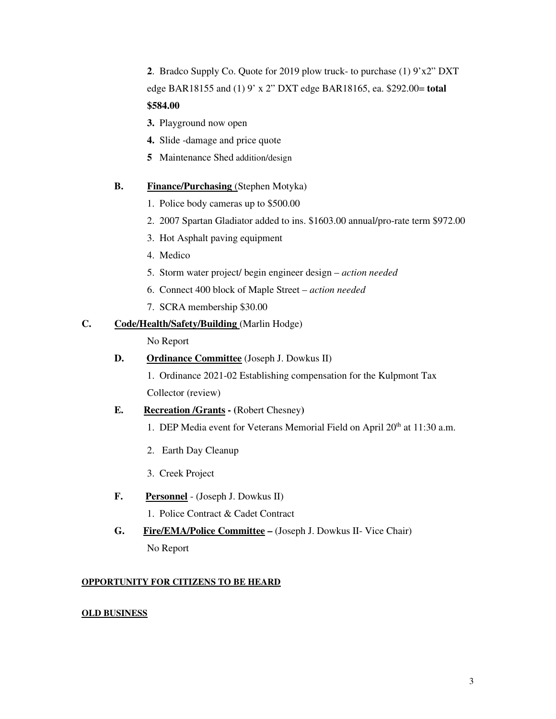**2**. Bradco Supply Co. Quote for 2019 plow truck- to purchase (1) 9'x2" DXT edge BAR18155 and (1) 9' x 2" DXT edge BAR18165, ea. \$292.00= **total \$584.00** 

- **3.** Playground now open
- **4.** Slide -damage and price quote
- **5** Maintenance Shed addition/design

#### **B.** Finance/Purchasing (Stephen Motyka)

- 1. Police body cameras up to \$500.00
- 2. 2007 Spartan Gladiator added to ins. \$1603.00 annual/pro-rate term \$972.00
- 3. Hot Asphalt paving equipment
- 4. Medico
- 5. Storm water project/ begin engineer design *action needed*
- 6. Connect 400 block of Maple Street *action needed*
- 7. SCRA membership \$30.00

#### **C. Code/Health/Safety/Building** (Marlin Hodge)

No Report

#### **D. Ordinance Committee** (Joseph J. Dowkus II)

1. Ordinance 2021-02 Establishing compensation for the Kulpmont Tax Collector (review)

#### **E. Recreation /Grants - (**Robert Chesney**)**

- 1. DEP Media event for Veterans Memorial Field on April  $20<sup>th</sup>$  at 11:30 a.m.
- 2. Earth Day Cleanup
- 3. Creek Project
- **F. Personnel** (Joseph J. Dowkus II)
	- 1. Police Contract & Cadet Contract

# **G. Fire/EMA/Police Committee –** (Joseph J. Dowkus II- Vice Chair) No Report

#### **OPPORTUNITY FOR CITIZENS TO BE HEARD**

#### **OLD BUSINESS**